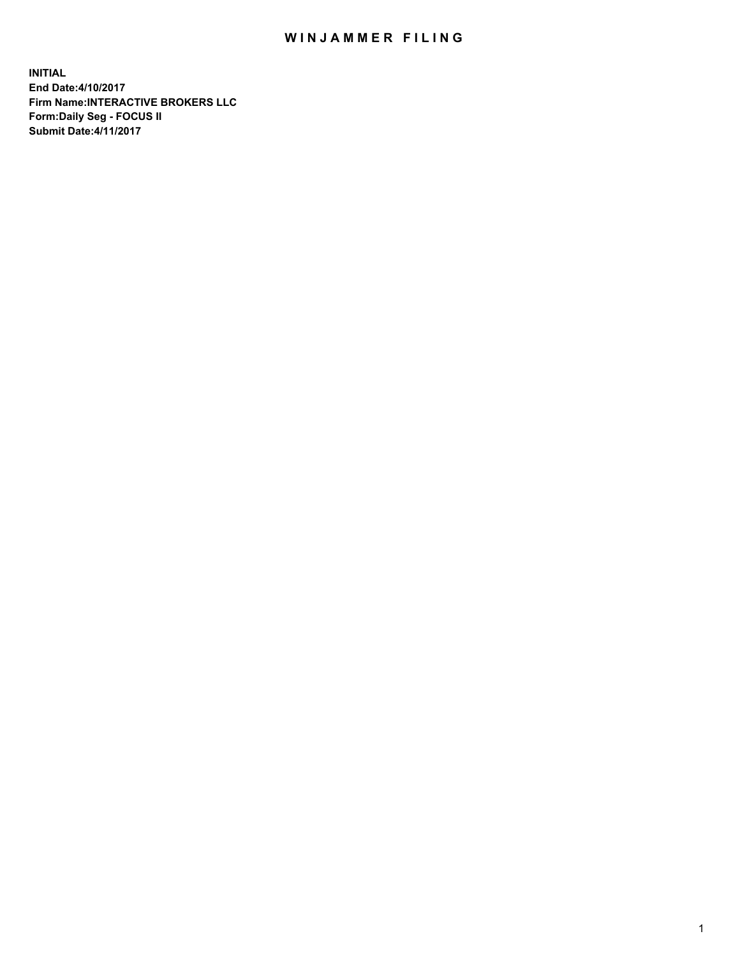## WIN JAMMER FILING

**INITIAL End Date:4/10/2017 Firm Name:INTERACTIVE BROKERS LLC Form:Daily Seg - FOCUS II Submit Date:4/11/2017**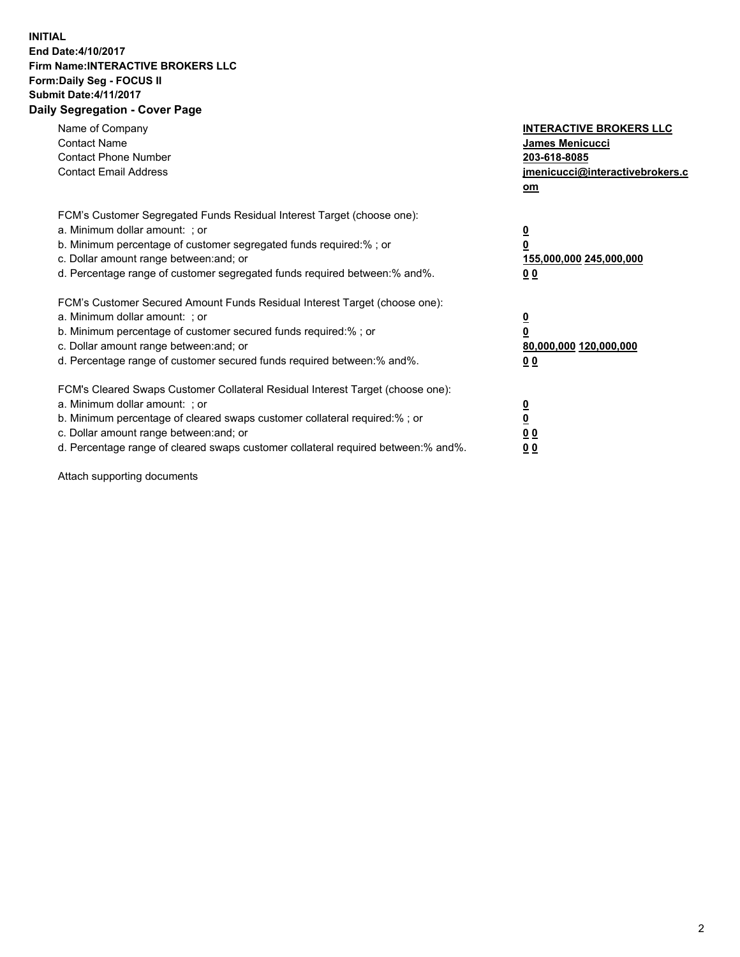## **INITIAL End Date:4/10/2017 Firm Name:INTERACTIVE BROKERS LLC Form:Daily Seg - FOCUS II Submit Date:4/11/2017 Daily Segregation - Cover Page**

| Name of Company<br><b>Contact Name</b><br><b>Contact Phone Number</b><br><b>Contact Email Address</b>                                                                                                                                                                                                                          | <b>INTERACTIVE BROKERS LLC</b><br><b>James Menicucci</b><br>203-618-8085<br>jmenicucci@interactivebrokers.c<br>om |
|--------------------------------------------------------------------------------------------------------------------------------------------------------------------------------------------------------------------------------------------------------------------------------------------------------------------------------|-------------------------------------------------------------------------------------------------------------------|
| FCM's Customer Segregated Funds Residual Interest Target (choose one):<br>a. Minimum dollar amount: ; or<br>b. Minimum percentage of customer segregated funds required:%; or<br>c. Dollar amount range between: and; or<br>d. Percentage range of customer segregated funds required between:% and%.                          | $\overline{\mathbf{0}}$<br>0<br>155,000,000 245,000,000<br>0 <sub>0</sub>                                         |
| FCM's Customer Secured Amount Funds Residual Interest Target (choose one):<br>a. Minimum dollar amount: ; or<br>b. Minimum percentage of customer secured funds required:%; or<br>c. Dollar amount range between: and; or<br>d. Percentage range of customer secured funds required between: % and %.                          | $\overline{\mathbf{0}}$<br>0<br>80,000,000 120,000,000<br>0 <sub>0</sub>                                          |
| FCM's Cleared Swaps Customer Collateral Residual Interest Target (choose one):<br>a. Minimum dollar amount: ; or<br>b. Minimum percentage of cleared swaps customer collateral required:% ; or<br>c. Dollar amount range between: and; or<br>d. Percentage range of cleared swaps customer collateral required between:% and%. | $\overline{\mathbf{0}}$<br>$\overline{\mathbf{0}}$<br>0 <sub>0</sub><br><u>00</u>                                 |

Attach supporting documents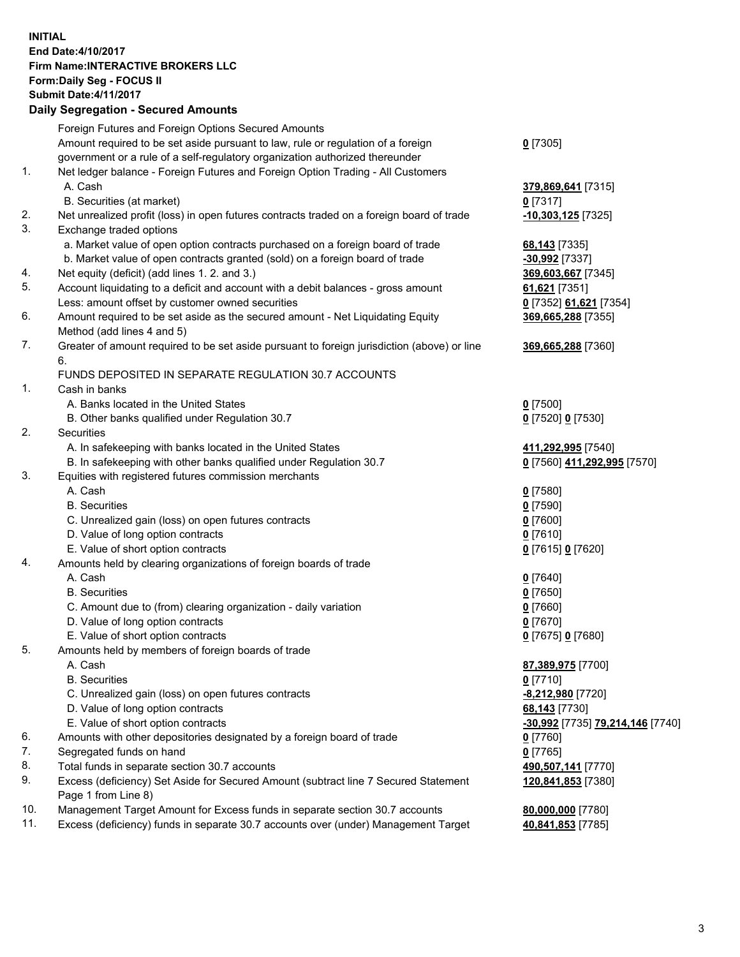## **INITIAL End Date:4/10/2017 Firm Name:INTERACTIVE BROKERS LLC Form:Daily Seg - FOCUS II Submit Date:4/11/2017 Daily Segregation - Secured Amounts**

|     | Foreign Futures and Foreign Options Secured Amounts                                         |                                  |
|-----|---------------------------------------------------------------------------------------------|----------------------------------|
|     | Amount required to be set aside pursuant to law, rule or regulation of a foreign            | $0$ [7305]                       |
|     | government or a rule of a self-regulatory organization authorized thereunder                |                                  |
| 1.  | Net ledger balance - Foreign Futures and Foreign Option Trading - All Customers             |                                  |
|     | A. Cash                                                                                     | 379,869,641 [7315]               |
|     | B. Securities (at market)                                                                   | $0$ [7317]                       |
| 2.  | Net unrealized profit (loss) in open futures contracts traded on a foreign board of trade   | $-10,303,125$ [7325]             |
| 3.  | Exchange traded options                                                                     |                                  |
|     | a. Market value of open option contracts purchased on a foreign board of trade              | 68,143 [7335]                    |
|     | b. Market value of open contracts granted (sold) on a foreign board of trade                | -30,992 [7337]                   |
| 4.  | Net equity (deficit) (add lines 1. 2. and 3.)                                               | 369,603,667 [7345]               |
| 5.  | Account liquidating to a deficit and account with a debit balances - gross amount           | 61,621 [7351]                    |
|     | Less: amount offset by customer owned securities                                            | 0 [7352] 61,621 [7354]           |
| 6.  | Amount required to be set aside as the secured amount - Net Liquidating Equity              | 369,665,288 [7355]               |
|     | Method (add lines 4 and 5)                                                                  |                                  |
| 7.  | Greater of amount required to be set aside pursuant to foreign jurisdiction (above) or line |                                  |
|     |                                                                                             | 369,665,288 [7360]               |
|     | 6.                                                                                          |                                  |
| 1.  | FUNDS DEPOSITED IN SEPARATE REGULATION 30.7 ACCOUNTS                                        |                                  |
|     | Cash in banks                                                                               |                                  |
|     | A. Banks located in the United States                                                       | $0$ [7500]                       |
|     | B. Other banks qualified under Regulation 30.7                                              | 0 [7520] 0 [7530]                |
| 2.  | Securities                                                                                  |                                  |
|     | A. In safekeeping with banks located in the United States                                   | 411,292,995 [7540]               |
|     | B. In safekeeping with other banks qualified under Regulation 30.7                          | 0 [7560] 411,292,995 [7570]      |
| 3.  | Equities with registered futures commission merchants                                       |                                  |
|     | A. Cash                                                                                     | $0$ [7580]                       |
|     | <b>B.</b> Securities                                                                        | $0$ [7590]                       |
|     | C. Unrealized gain (loss) on open futures contracts                                         | $0$ [7600]                       |
|     | D. Value of long option contracts                                                           | $0$ [7610]                       |
|     | E. Value of short option contracts                                                          | 0 [7615] 0 [7620]                |
| 4.  | Amounts held by clearing organizations of foreign boards of trade                           |                                  |
|     | A. Cash                                                                                     | $0$ [7640]                       |
|     | <b>B.</b> Securities                                                                        | $0$ [7650]                       |
|     | C. Amount due to (from) clearing organization - daily variation                             | $0$ [7660]                       |
|     | D. Value of long option contracts                                                           | $0$ [7670]                       |
|     | E. Value of short option contracts                                                          | 0 [7675] 0 [7680]                |
| 5.  | Amounts held by members of foreign boards of trade                                          |                                  |
|     | A. Cash                                                                                     | 87,389,975 [7700]                |
|     | <b>B.</b> Securities                                                                        | $0$ [7710]                       |
|     | C. Unrealized gain (loss) on open futures contracts                                         | -8,212,980 [7720]                |
|     | D. Value of long option contracts                                                           | 68,143 [7730]                    |
|     | E. Value of short option contracts                                                          | -30,992 [7735] 79,214,146 [7740] |
| 6.  | Amounts with other depositories designated by a foreign board of trade                      | $0$ [7760]                       |
| 7.  | Segregated funds on hand                                                                    | $0$ [7765]                       |
| 8.  | Total funds in separate section 30.7 accounts                                               | 490,507,141 [7770]               |
| 9.  | Excess (deficiency) Set Aside for Secured Amount (subtract line 7 Secured Statement         | 120,841,853 [7380]               |
|     | Page 1 from Line 8)                                                                         |                                  |
| 10. | Management Target Amount for Excess funds in separate section 30.7 accounts                 | 80,000,000 [7780]                |
| 11. | Excess (deficiency) funds in separate 30.7 accounts over (under) Management Target          | 40,841,853 [7785]                |
|     |                                                                                             |                                  |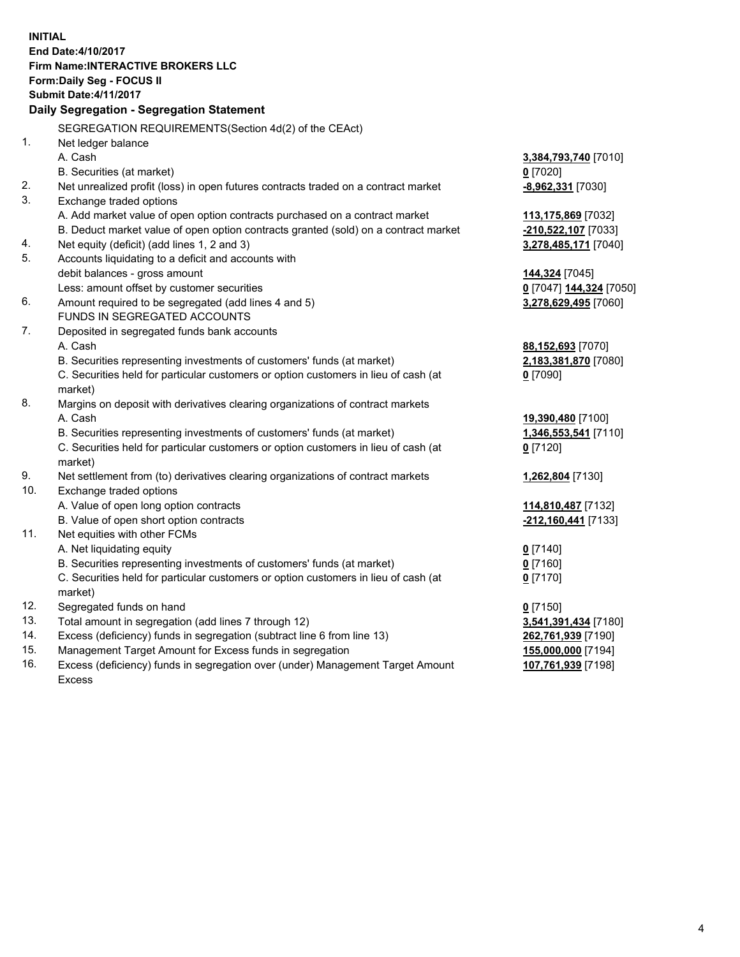**INITIAL End Date:4/10/2017 Firm Name:INTERACTIVE BROKERS LLC Form:Daily Seg - FOCUS II Submit Date:4/11/2017 Daily Segregation - Segregation Statement** SEGREGATION REQUIREMENTS(Section 4d(2) of the CEAct) 1. Net ledger balance A. Cash **3,384,793,740** [7010] B. Securities (at market) **0** [7020] 2. Net unrealized profit (loss) in open futures contracts traded on a contract market **-8,962,331** [7030] 3. Exchange traded options A. Add market value of open option contracts purchased on a contract market **113,175,869** [7032] B. Deduct market value of open option contracts granted (sold) on a contract market **-210,522,107** [7033] 4. Net equity (deficit) (add lines 1, 2 and 3) **3,278,485,171** [7040] 5. Accounts liquidating to a deficit and accounts with debit balances - gross amount **144,324** [7045] Less: amount offset by customer securities **0** [7047] **144,324** [7050] 6. Amount required to be segregated (add lines 4 and 5) **3,278,629,495** [7060] FUNDS IN SEGREGATED ACCOUNTS 7. Deposited in segregated funds bank accounts A. Cash **88,152,693** [7070] B. Securities representing investments of customers' funds (at market) **2,183,381,870** [7080] C. Securities held for particular customers or option customers in lieu of cash (at market) **0** [7090] 8. Margins on deposit with derivatives clearing organizations of contract markets A. Cash **19,390,480** [7100] B. Securities representing investments of customers' funds (at market) **1,346,553,541** [7110] C. Securities held for particular customers or option customers in lieu of cash (at market) **0** [7120] 9. Net settlement from (to) derivatives clearing organizations of contract markets **1,262,804** [7130] 10. Exchange traded options A. Value of open long option contracts **114,810,487** [7132] B. Value of open short option contracts **-212,160,441** [7133] 11. Net equities with other FCMs A. Net liquidating equity **0** [7140] B. Securities representing investments of customers' funds (at market) **0** [7160] C. Securities held for particular customers or option customers in lieu of cash (at market) **0** [7170] 12. Segregated funds on hand **0** [7150] 13. Total amount in segregation (add lines 7 through 12) **3,541,391,434** [7180] 14. Excess (deficiency) funds in segregation (subtract line 6 from line 13) **262,761,939** [7190] 15. Management Target Amount for Excess funds in segregation **155,000,000** [7194] **107,761,939** [7198]

16. Excess (deficiency) funds in segregation over (under) Management Target Amount Excess